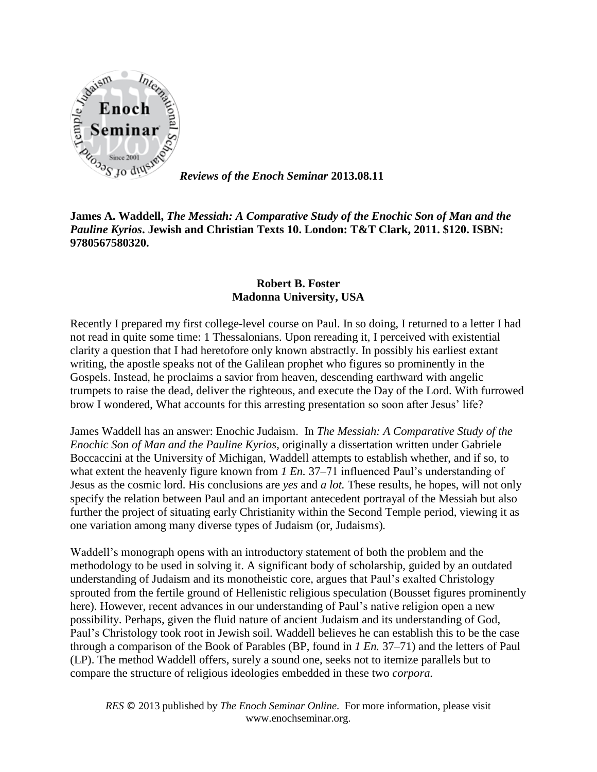

*Reviews of the Enoch Seminar* **2013.08.11**

**James A. Waddell,** *The Messiah: A Comparative Study of the Enochic Son of Man and the Pauline Kyrios***. Jewish and Christian Texts 10. London: T&T Clark, 2011. \$120. ISBN: 9780567580320.**

## **Robert B. Foster Madonna University, USA**

Recently I prepared my first college-level course on Paul. In so doing, I returned to a letter I had not read in quite some time: 1 Thessalonians. Upon rereading it, I perceived with existential clarity a question that I had heretofore only known abstractly. In possibly his earliest extant writing, the apostle speaks not of the Galilean prophet who figures so prominently in the Gospels. Instead, he proclaims a savior from heaven, descending earthward with angelic trumpets to raise the dead, deliver the righteous, and execute the Day of the Lord. With furrowed brow I wondered, What accounts for this arresting presentation so soon after Jesus' life?

James Waddell has an answer: Enochic Judaism. In *The Messiah: A Comparative Study of the Enochic Son of Man and the Pauline Kyrios*, originally a dissertation written under Gabriele Boccaccini at the University of Michigan, Waddell attempts to establish whether, and if so, to what extent the heavenly figure known from *1 En.* 37–71 influenced Paul's understanding of Jesus as the cosmic lord. His conclusions are *yes* and *a lot.* These results, he hopes, will not only specify the relation between Paul and an important antecedent portrayal of the Messiah but also further the project of situating early Christianity within the Second Temple period, viewing it as one variation among many diverse types of Judaism (or, Judaism*s*)*.*

Waddell's monograph opens with an introductory statement of both the problem and the methodology to be used in solving it. A significant body of scholarship, guided by an outdated understanding of Judaism and its monotheistic core, argues that Paul's exalted Christology sprouted from the fertile ground of Hellenistic religious speculation (Bousset figures prominently here). However, recent advances in our understanding of Paul's native religion open a new possibility. Perhaps, given the fluid nature of ancient Judaism and its understanding of God, Paul's Christology took root in Jewish soil. Waddell believes he can establish this to be the case through a comparison of the Book of Parables (BP, found in *1 En.* 37–71) and the letters of Paul (LP). The method Waddell offers, surely a sound one, seeks not to itemize parallels but to compare the structure of religious ideologies embedded in these two *corpora.*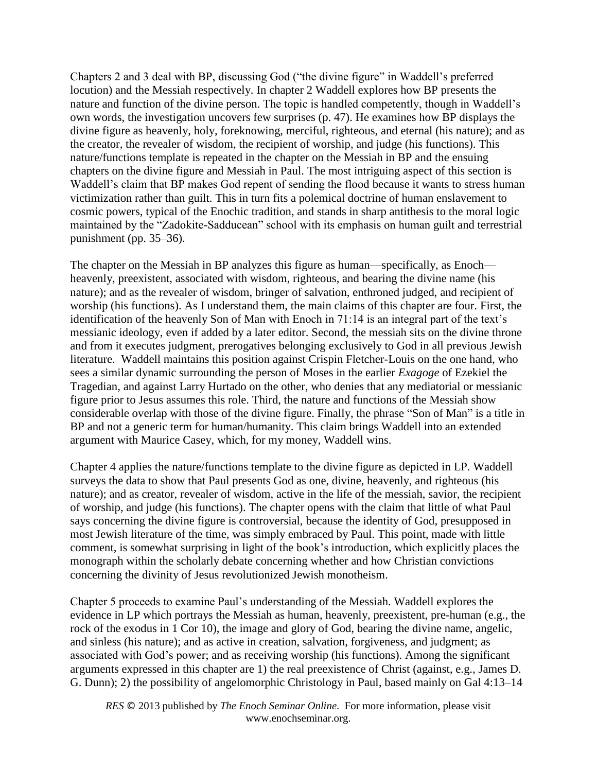Chapters 2 and 3 deal with BP, discussing God ("the divine figure" in Waddell's preferred locution) and the Messiah respectively. In chapter 2 Waddell explores how BP presents the nature and function of the divine person. The topic is handled competently, though in Waddell's own words, the investigation uncovers few surprises (p. 47). He examines how BP displays the divine figure as heavenly, holy, foreknowing, merciful, righteous, and eternal (his nature); and as the creator, the revealer of wisdom, the recipient of worship, and judge (his functions). This nature/functions template is repeated in the chapter on the Messiah in BP and the ensuing chapters on the divine figure and Messiah in Paul. The most intriguing aspect of this section is Waddell's claim that BP makes God repent of sending the flood because it wants to stress human victimization rather than guilt. This in turn fits a polemical doctrine of human enslavement to cosmic powers, typical of the Enochic tradition, and stands in sharp antithesis to the moral logic maintained by the "Zadokite-Sadducean" school with its emphasis on human guilt and terrestrial punishment (pp. 35–36).

The chapter on the Messiah in BP analyzes this figure as human—specifically, as Enoch heavenly, preexistent, associated with wisdom, righteous, and bearing the divine name (his nature); and as the revealer of wisdom, bringer of salvation, enthroned judged, and recipient of worship (his functions). As I understand them, the main claims of this chapter are four. First, the identification of the heavenly Son of Man with Enoch in 71:14 is an integral part of the text's messianic ideology, even if added by a later editor. Second, the messiah sits on the divine throne and from it executes judgment, prerogatives belonging exclusively to God in all previous Jewish literature. Waddell maintains this position against Crispin Fletcher-Louis on the one hand, who sees a similar dynamic surrounding the person of Moses in the earlier *Exagoge* of Ezekiel the Tragedian, and against Larry Hurtado on the other, who denies that any mediatorial or messianic figure prior to Jesus assumes this role. Third, the nature and functions of the Messiah show considerable overlap with those of the divine figure. Finally, the phrase "Son of Man" is a title in BP and not a generic term for human/humanity. This claim brings Waddell into an extended argument with Maurice Casey, which, for my money, Waddell wins.

Chapter 4 applies the nature/functions template to the divine figure as depicted in LP. Waddell surveys the data to show that Paul presents God as one, divine, heavenly, and righteous (his nature); and as creator, revealer of wisdom, active in the life of the messiah, savior, the recipient of worship, and judge (his functions). The chapter opens with the claim that little of what Paul says concerning the divine figure is controversial, because the identity of God, presupposed in most Jewish literature of the time, was simply embraced by Paul. This point, made with little comment, is somewhat surprising in light of the book's introduction, which explicitly places the monograph within the scholarly debate concerning whether and how Christian convictions concerning the divinity of Jesus revolutionized Jewish monotheism.

Chapter 5 proceeds to examine Paul's understanding of the Messiah. Waddell explores the evidence in LP which portrays the Messiah as human, heavenly, preexistent, pre-human (e.g., the rock of the exodus in 1 Cor 10), the image and glory of God, bearing the divine name, angelic, and sinless (his nature); and as active in creation, salvation, forgiveness, and judgment; as associated with God's power; and as receiving worship (his functions). Among the significant arguments expressed in this chapter are 1) the real preexistence of Christ (against, e.g., James D. G. Dunn); 2) the possibility of angelomorphic Christology in Paul, based mainly on Gal 4:13–14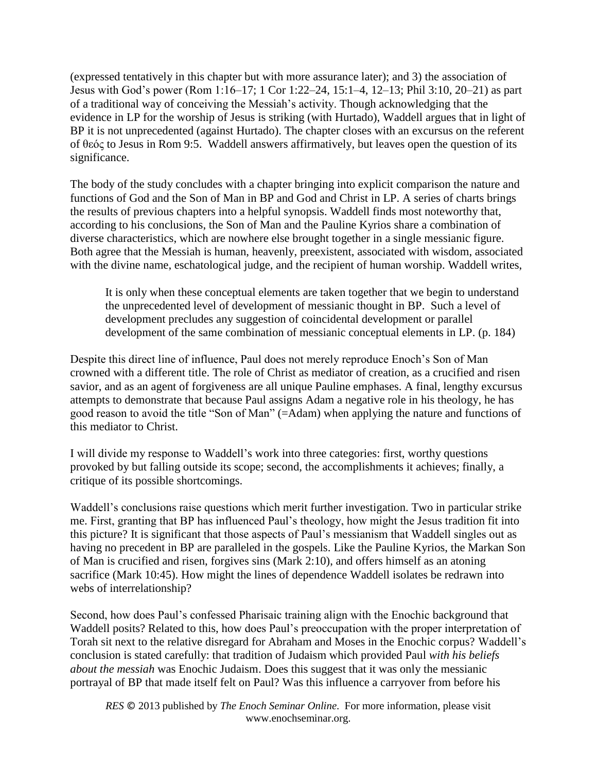(expressed tentatively in this chapter but with more assurance later); and 3) the association of Jesus with God's power (Rom 1:16–17; 1 Cor 1:22–24, 15:1–4, 12–13; Phil 3:10, 20–21) as part of a traditional way of conceiving the Messiah's activity. Though acknowledging that the evidence in LP for the worship of Jesus is striking (with Hurtado), Waddell argues that in light of BP it is not unprecedented (against Hurtado). The chapter closes with an excursus on the referent of  $\theta \in \zeta$  to Jesus in Rom 9:5. Waddell answers affirmatively, but leaves open the question of its significance.

The body of the study concludes with a chapter bringing into explicit comparison the nature and functions of God and the Son of Man in BP and God and Christ in LP. A series of charts brings the results of previous chapters into a helpful synopsis. Waddell finds most noteworthy that, according to his conclusions, the Son of Man and the Pauline Kyrios share a combination of diverse characteristics, which are nowhere else brought together in a single messianic figure. Both agree that the Messiah is human, heavenly, preexistent, associated with wisdom, associated with the divine name, eschatological judge, and the recipient of human worship. Waddell writes,

It is only when these conceptual elements are taken together that we begin to understand the unprecedented level of development of messianic thought in BP. Such a level of development precludes any suggestion of coincidental development or parallel development of the same combination of messianic conceptual elements in LP. (p. 184)

Despite this direct line of influence, Paul does not merely reproduce Enoch's Son of Man crowned with a different title. The role of Christ as mediator of creation, as a crucified and risen savior, and as an agent of forgiveness are all unique Pauline emphases. A final, lengthy excursus attempts to demonstrate that because Paul assigns Adam a negative role in his theology, he has good reason to avoid the title "Son of Man" (=Adam) when applying the nature and functions of this mediator to Christ.

I will divide my response to Waddell's work into three categories: first, worthy questions provoked by but falling outside its scope; second, the accomplishments it achieves; finally, a critique of its possible shortcomings.

Waddell's conclusions raise questions which merit further investigation. Two in particular strike me. First, granting that BP has influenced Paul's theology, how might the Jesus tradition fit into this picture? It is significant that those aspects of Paul's messianism that Waddell singles out as having no precedent in BP are paralleled in the gospels. Like the Pauline Kyrios, the Markan Son of Man is crucified and risen, forgives sins (Mark 2:10), and offers himself as an atoning sacrifice (Mark 10:45). How might the lines of dependence Waddell isolates be redrawn into webs of interrelationship?

Second, how does Paul's confessed Pharisaic training align with the Enochic background that Waddell posits? Related to this, how does Paul's preoccupation with the proper interpretation of Torah sit next to the relative disregard for Abraham and Moses in the Enochic corpus? Waddell's conclusion is stated carefully: that tradition of Judaism which provided Paul *with his beliefs about the messiah* was Enochic Judaism. Does this suggest that it was only the messianic portrayal of BP that made itself felt on Paul? Was this influence a carryover from before his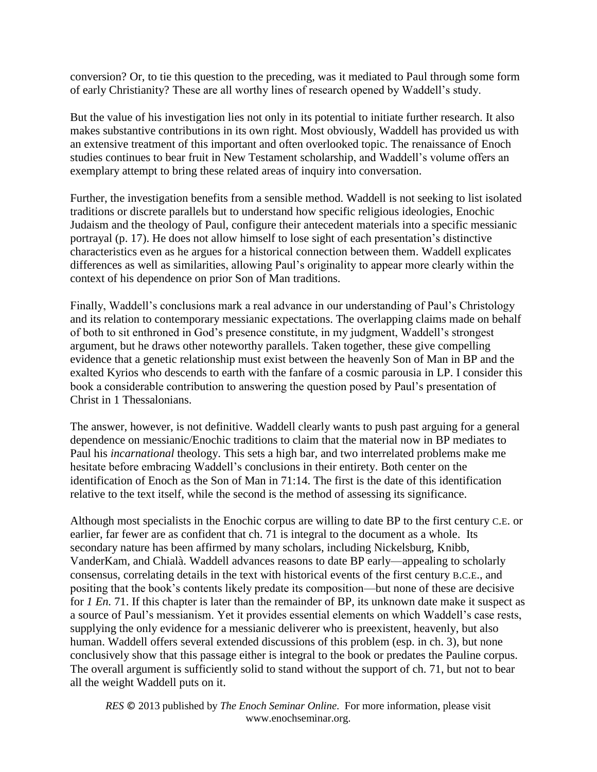conversion? Or, to tie this question to the preceding, was it mediated to Paul through some form of early Christianity? These are all worthy lines of research opened by Waddell's study.

But the value of his investigation lies not only in its potential to initiate further research. It also makes substantive contributions in its own right. Most obviously, Waddell has provided us with an extensive treatment of this important and often overlooked topic. The renaissance of Enoch studies continues to bear fruit in New Testament scholarship, and Waddell's volume offers an exemplary attempt to bring these related areas of inquiry into conversation.

Further, the investigation benefits from a sensible method. Waddell is not seeking to list isolated traditions or discrete parallels but to understand how specific religious ideologies, Enochic Judaism and the theology of Paul, configure their antecedent materials into a specific messianic portrayal (p. 17). He does not allow himself to lose sight of each presentation's distinctive characteristics even as he argues for a historical connection between them. Waddell explicates differences as well as similarities, allowing Paul's originality to appear more clearly within the context of his dependence on prior Son of Man traditions.

Finally, Waddell's conclusions mark a real advance in our understanding of Paul's Christology and its relation to contemporary messianic expectations. The overlapping claims made on behalf of both to sit enthroned in God's presence constitute, in my judgment, Waddell's strongest argument, but he draws other noteworthy parallels. Taken together, these give compelling evidence that a genetic relationship must exist between the heavenly Son of Man in BP and the exalted Kyrios who descends to earth with the fanfare of a cosmic parousia in LP. I consider this book a considerable contribution to answering the question posed by Paul's presentation of Christ in 1 Thessalonians.

The answer, however, is not definitive. Waddell clearly wants to push past arguing for a general dependence on messianic/Enochic traditions to claim that the material now in BP mediates to Paul his *incarnational* theology. This sets a high bar, and two interrelated problems make me hesitate before embracing Waddell's conclusions in their entirety. Both center on the identification of Enoch as the Son of Man in 71:14. The first is the date of this identification relative to the text itself, while the second is the method of assessing its significance.

Although most specialists in the Enochic corpus are willing to date BP to the first century C.E. or earlier, far fewer are as confident that ch. 71 is integral to the document as a whole. Its secondary nature has been affirmed by many scholars, including Nickelsburg, Knibb, VanderKam, and Chialà. Waddell advances reasons to date BP early—appealing to scholarly consensus, correlating details in the text with historical events of the first century B.C.E., and positing that the book's contents likely predate its composition—but none of these are decisive for *1 En.* 71. If this chapter is later than the remainder of BP, its unknown date make it suspect as a source of Paul's messianism. Yet it provides essential elements on which Waddell's case rests, supplying the only evidence for a messianic deliverer who is preexistent, heavenly, but also human. Waddell offers several extended discussions of this problem (esp. in ch. 3), but none conclusively show that this passage either is integral to the book or predates the Pauline corpus. The overall argument is sufficiently solid to stand without the support of ch. 71, but not to bear all the weight Waddell puts on it.